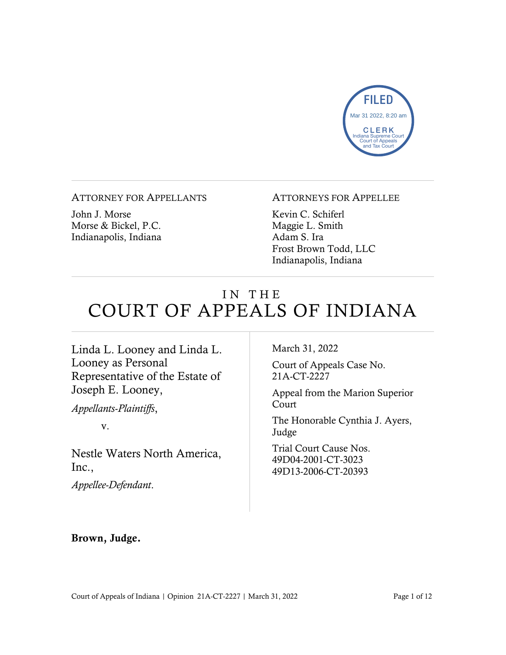

ATTORNEY FOR APPELLANTS

John J. Morse Morse & Bickel, P.C. Indianapolis, Indiana

#### ATTORNEYS FOR APPELLEE

Kevin C. Schiferl Maggie L. Smith Adam S. Ira Frost Brown Todd, LLC Indianapolis, Indiana

# IN THE COURT OF APPEALS OF INDIANA

Linda L. Looney and Linda L. Looney as Personal Representative of the Estate of Joseph E. Looney,

*Appellants-Plaintiffs*,

v.

Nestle Waters North America, Inc.,

*Appellee-Defendant*.

March 31, 2022

Court of Appeals Case No. 21A-CT-2227

Appeal from the Marion Superior Court

The Honorable Cynthia J. Ayers, Judge

Trial Court Cause Nos. 49D04-2001-CT-3023 49D13-2006-CT-20393

#### Brown, Judge.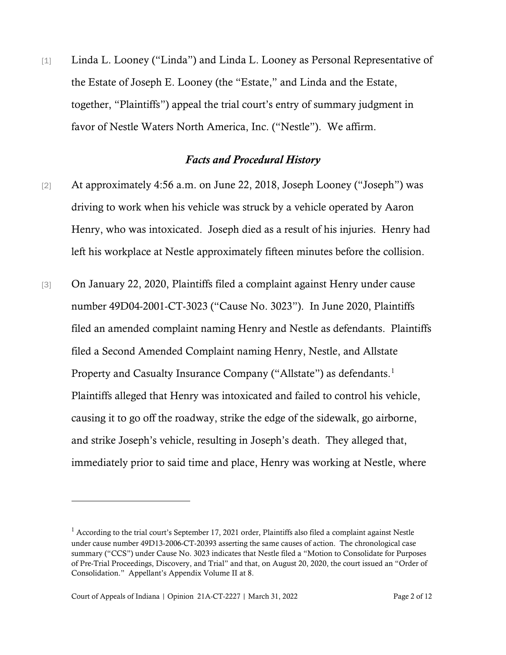[1] Linda L. Looney ("Linda") and Linda L. Looney as Personal Representative of the Estate of Joseph E. Looney (the "Estate," and Linda and the Estate, together, "Plaintiffs") appeal the trial court's entry of summary judgment in favor of Nestle Waters North America, Inc. ("Nestle"). We affirm.

## *Facts and Procedural History*

- [2] At approximately 4:56 a.m. on June 22, 2018, Joseph Looney ("Joseph") was driving to work when his vehicle was struck by a vehicle operated by Aaron Henry, who was intoxicated. Joseph died as a result of his injuries. Henry had left his workplace at Nestle approximately fifteen minutes before the collision.
- [3] On January 22, 2020, Plaintiffs filed a complaint against Henry under cause number 49D04-2001-CT-3023 ("Cause No. 3023"). In June 2020, Plaintiffs filed an amended complaint naming Henry and Nestle as defendants. Plaintiffs filed a Second Amended Complaint naming Henry, Nestle, and Allstate Property and Casualty Insurance Company ("Allstate") as defendants.<sup>[1](#page-1-0)</sup> Plaintiffs alleged that Henry was intoxicated and failed to control his vehicle, causing it to go off the roadway, strike the edge of the sidewalk, go airborne, and strike Joseph's vehicle, resulting in Joseph's death. They alleged that, immediately prior to said time and place, Henry was working at Nestle, where

<span id="page-1-0"></span><sup>&</sup>lt;sup>1</sup> According to the trial court's September 17, 2021 order, Plaintiffs also filed a complaint against Nestle under cause number 49D13-2006-CT-20393 asserting the same causes of action. The chronological case summary ("CCS") under Cause No. 3023 indicates that Nestle filed a "Motion to Consolidate for Purposes of Pre-Trial Proceedings, Discovery, and Trial" and that, on August 20, 2020, the court issued an "Order of Consolidation." Appellant's Appendix Volume II at 8.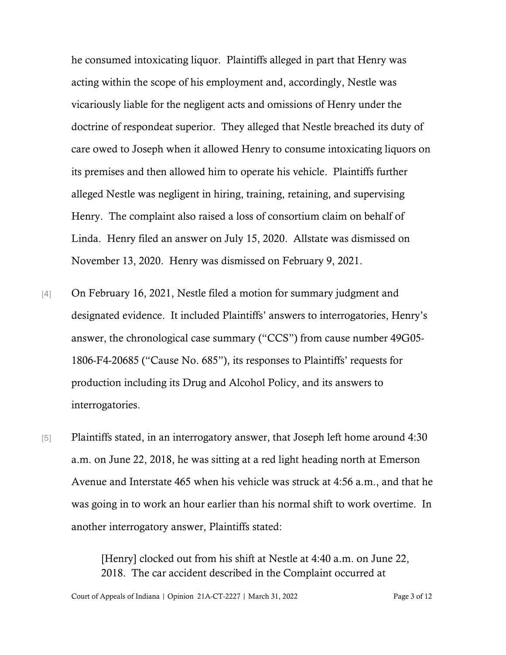he consumed intoxicating liquor. Plaintiffs alleged in part that Henry was acting within the scope of his employment and, accordingly, Nestle was vicariously liable for the negligent acts and omissions of Henry under the doctrine of respondeat superior. They alleged that Nestle breached its duty of care owed to Joseph when it allowed Henry to consume intoxicating liquors on its premises and then allowed him to operate his vehicle. Plaintiffs further alleged Nestle was negligent in hiring, training, retaining, and supervising Henry. The complaint also raised a loss of consortium claim on behalf of Linda. Henry filed an answer on July 15, 2020. Allstate was dismissed on November 13, 2020. Henry was dismissed on February 9, 2021.

- [4] On February 16, 2021, Nestle filed a motion for summary judgment and designated evidence. It included Plaintiffs' answers to interrogatories, Henry's answer, the chronological case summary ("CCS") from cause number 49G05- 1806-F4-20685 ("Cause No. 685"), its responses to Plaintiffs' requests for production including its Drug and Alcohol Policy, and its answers to interrogatories.
- [5] Plaintiffs stated, in an interrogatory answer, that Joseph left home around 4:30 a.m. on June 22, 2018, he was sitting at a red light heading north at Emerson Avenue and Interstate 465 when his vehicle was struck at 4:56 a.m., and that he was going in to work an hour earlier than his normal shift to work overtime. In another interrogatory answer, Plaintiffs stated:

[Henry] clocked out from his shift at Nestle at 4:40 a.m. on June 22, 2018. The car accident described in the Complaint occurred at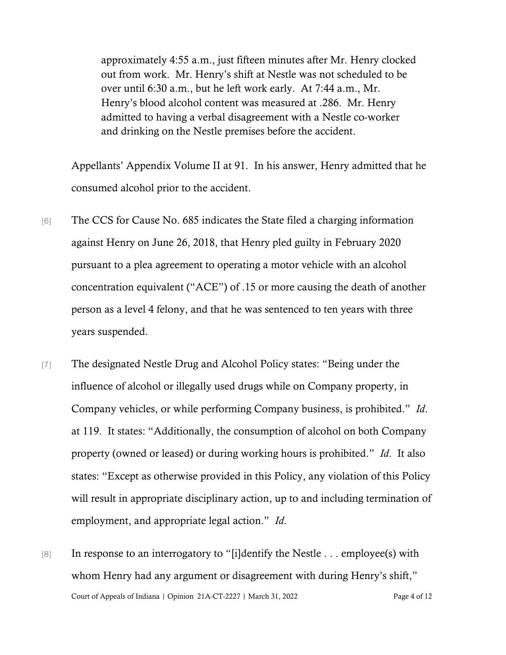approximately 4:55 a.m., just fifteen minutes after Mr. Henry clocked out from work. Mr. Henry's shift at Nestle was not scheduled to be over until 6:30 a.m., but he left work early. At 7:44 a.m., Mr. Henry's blood alcohol content was measured at .286. Mr. Henry admitted to having a verbal disagreement with a Nestle co-worker and drinking on the Nestle premises before the accident.

Appellants' Appendix Volume II at 91. In his answer, Henry admitted that he consumed alcohol prior to the accident.

- [6] The CCS for Cause No. 685 indicates the State filed a charging information against Henry on June 26, 2018, that Henry pled guilty in February 2020 pursuant to a plea agreement to operating a motor vehicle with an alcohol concentration equivalent ("ACE") of .15 or more causing the death of another person as a level 4 felony, and that he was sentenced to ten years with three years suspended.
- [7] The designated Nestle Drug and Alcohol Policy states: "Being under the influence of alcohol or illegally used drugs while on Company property, in Company vehicles, or while performing Company business, is prohibited." *Id*. at 119. It states: "Additionally, the consumption of alcohol on both Company property (owned or leased) or during working hours is prohibited." *Id*. It also states: "Except as otherwise provided in this Policy, any violation of this Policy will result in appropriate disciplinary action, up to and including termination of employment, and appropriate legal action." *Id*.
- Court of Appeals of Indiana | Opinion 21A-CT-2227 | March 31, 2022 Page 4 of 12 [8] In response to an interrogatory to "[i]dentify the Nestle . . . employee(s) with whom Henry had any argument or disagreement with during Henry's shift,"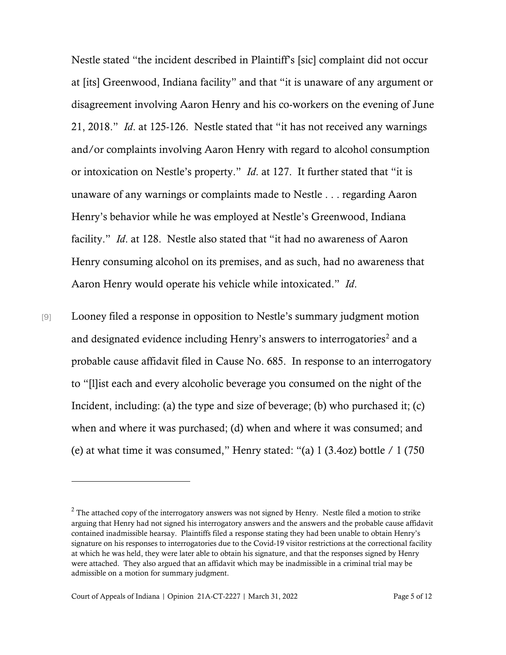Nestle stated "the incident described in Plaintiff's [sic] complaint did not occur at [its] Greenwood, Indiana facility" and that "it is unaware of any argument or disagreement involving Aaron Henry and his co-workers on the evening of June 21, 2018." *Id*. at 125-126. Nestle stated that "it has not received any warnings and/or complaints involving Aaron Henry with regard to alcohol consumption or intoxication on Nestle's property." *Id*. at 127. It further stated that "it is unaware of any warnings or complaints made to Nestle . . . regarding Aaron Henry's behavior while he was employed at Nestle's Greenwood, Indiana facility." *Id*. at 128. Nestle also stated that "it had no awareness of Aaron Henry consuming alcohol on its premises, and as such, had no awareness that Aaron Henry would operate his vehicle while intoxicated." *Id*.

[9] Looney filed a response in opposition to Nestle's summary judgment motion and designated evidence including Henry's answers to interrogatories<sup>[2](#page-4-0)</sup> and a probable cause affidavit filed in Cause No. 685. In response to an interrogatory to "[l]ist each and every alcoholic beverage you consumed on the night of the Incident, including: (a) the type and size of beverage; (b) who purchased it; (c) when and where it was purchased; (d) when and where it was consumed; and (e) at what time it was consumed," Henry stated: "(a)  $1(3.4oz)$  bottle  $/ 1(750)$ 

<span id="page-4-0"></span> $2$  The attached copy of the interrogatory answers was not signed by Henry. Nestle filed a motion to strike arguing that Henry had not signed his interrogatory answers and the answers and the probable cause affidavit contained inadmissible hearsay. Plaintiffs filed a response stating they had been unable to obtain Henry's signature on his responses to interrogatories due to the Covid-19 visitor restrictions at the correctional facility at which he was held, they were later able to obtain his signature, and that the responses signed by Henry were attached. They also argued that an affidavit which may be inadmissible in a criminal trial may be admissible on a motion for summary judgment.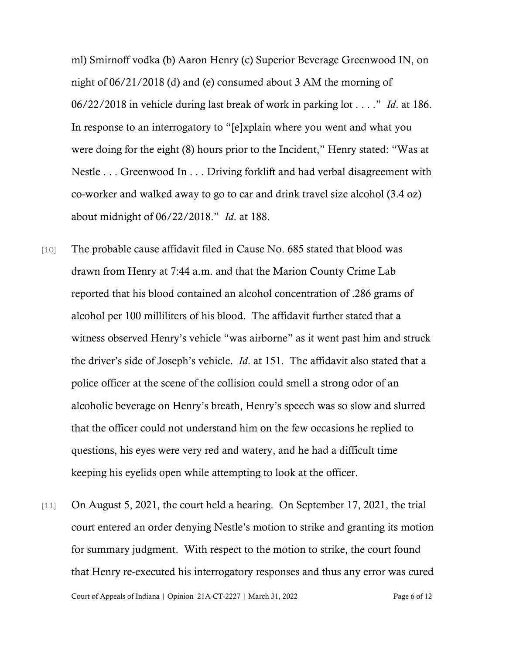ml) Smirnoff vodka (b) Aaron Henry (c) Superior Beverage Greenwood IN, on night of 06/21/2018 (d) and (e) consumed about 3 AM the morning of 06/22/2018 in vehicle during last break of work in parking lot . . . ." *Id*. at 186. In response to an interrogatory to "[e]xplain where you went and what you were doing for the eight (8) hours prior to the Incident," Henry stated: "Was at Nestle . . . Greenwood In . . . Driving forklift and had verbal disagreement with co-worker and walked away to go to car and drink travel size alcohol (3.4 oz) about midnight of 06/22/2018." *Id*. at 188.

- [10] The probable cause affidavit filed in Cause No. 685 stated that blood was drawn from Henry at 7:44 a.m. and that the Marion County Crime Lab reported that his blood contained an alcohol concentration of .286 grams of alcohol per 100 milliliters of his blood. The affidavit further stated that a witness observed Henry's vehicle "was airborne" as it went past him and struck the driver's side of Joseph's vehicle. *Id*. at 151. The affidavit also stated that a police officer at the scene of the collision could smell a strong odor of an alcoholic beverage on Henry's breath, Henry's speech was so slow and slurred that the officer could not understand him on the few occasions he replied to questions, his eyes were very red and watery, and he had a difficult time keeping his eyelids open while attempting to look at the officer.
- Court of Appeals of Indiana | Opinion 21A-CT-2227 | March 31, 2022 Page 6 of 12 [11] On August 5, 2021, the court held a hearing. On September 17, 2021, the trial court entered an order denying Nestle's motion to strike and granting its motion for summary judgment. With respect to the motion to strike, the court found that Henry re-executed his interrogatory responses and thus any error was cured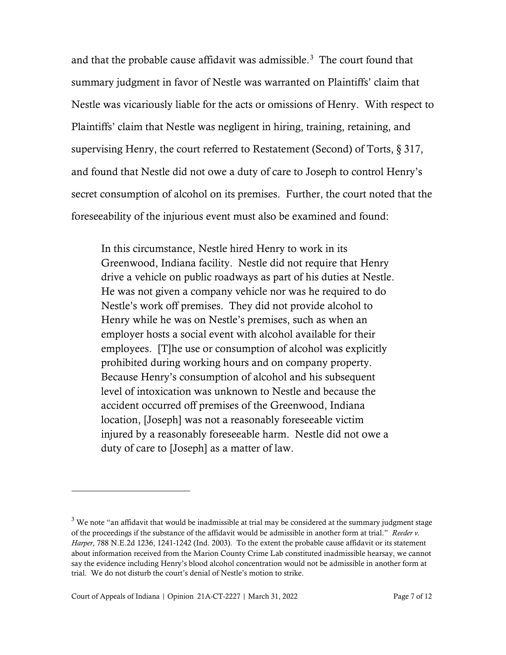and that the probable cause affidavit was admissible. $3$  The court found that summary judgment in favor of Nestle was warranted on Plaintiffs' claim that Nestle was vicariously liable for the acts or omissions of Henry. With respect to Plaintiffs' claim that Nestle was negligent in hiring, training, retaining, and supervising Henry, the court referred to Restatement (Second) of Torts, § 317, and found that Nestle did not owe a duty of care to Joseph to control Henry's secret consumption of alcohol on its premises. Further, the court noted that the foreseeability of the injurious event must also be examined and found:

In this circumstance, Nestle hired Henry to work in its Greenwood, Indiana facility. Nestle did not require that Henry drive a vehicle on public roadways as part of his duties at Nestle. He was not given a company vehicle nor was he required to do Nestle's work off premises. They did not provide alcohol to Henry while he was on Nestle's premises, such as when an employer hosts a social event with alcohol available for their employees. [T]he use or consumption of alcohol was explicitly prohibited during working hours and on company property. Because Henry's consumption of alcohol and his subsequent level of intoxication was unknown to Nestle and because the accident occurred off premises of the Greenwood, Indiana location, [Joseph] was not a reasonably foreseeable victim injured by a reasonably foreseeable harm. Nestle did not owe a duty of care to [Joseph] as a matter of law.

<span id="page-6-0"></span><sup>&</sup>lt;sup>3</sup> We note "an affidavit that would be inadmissible at trial may be considered at the summary judgment stage of the proceedings if the substance of the affidavit would be admissible in another form at trial." *Reeder v. Harper*, 788 N.E.2d 1236, 1241-1242 (Ind. 2003). To the extent the probable cause affidavit or its statement about information received from the Marion County Crime Lab constituted inadmissible hearsay, we cannot say the evidence including Henry's blood alcohol concentration would not be admissible in another form at trial. We do not disturb the court's denial of Nestle's motion to strike.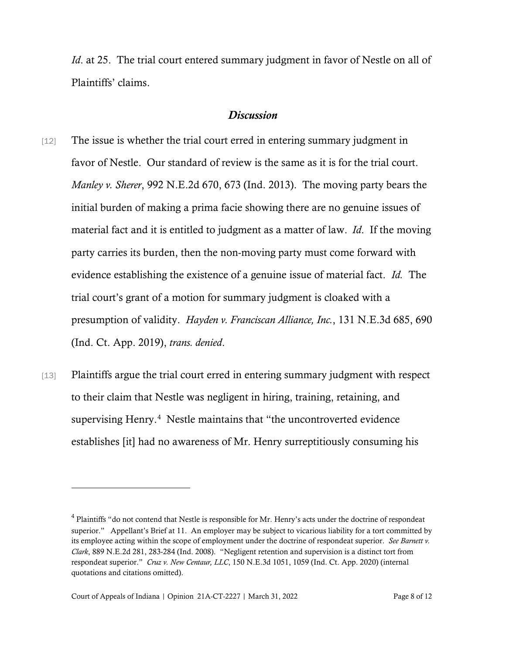*Id.* at 25. The trial court entered summary judgment in favor of Nestle on all of Plaintiffs' claims.

### *Discussion*

- [12] The issue is whether the trial court erred in entering summary judgment in favor of Nestle. Our standard of review is the same as it is for the trial court. *Manley v. Sherer*, 992 N.E.2d 670, 673 (Ind. 2013). The moving party bears the initial burden of making a prima facie showing there are no genuine issues of material fact and it is entitled to judgment as a matter of law. *Id*. If the moving party carries its burden, then the non-moving party must come forward with evidence establishing the existence of a genuine issue of material fact. *Id.* The trial court's grant of a motion for summary judgment is cloaked with a presumption of validity. *Hayden v. Franciscan Alliance, Inc.*, 131 N.E.3d 685, 690 (Ind. Ct. App. 2019), *trans. denied*.
- [13] Plaintiffs argue the trial court erred in entering summary judgment with respect to their claim that Nestle was negligent in hiring, training, retaining, and supervising Henry.<sup>[4](#page-7-0)</sup> Nestle maintains that "the uncontroverted evidence establishes [it] had no awareness of Mr. Henry surreptitiously consuming his

<span id="page-7-0"></span><sup>4</sup> Plaintiffs "do not contend that Nestle is responsible for Mr. Henry's acts under the doctrine of respondeat superior." Appellant's Brief at 11. An employer may be subject to vicarious liability for a tort committed by its employee acting within the scope of employment under the doctrine of respondeat superior. *See Barnett v. Clark*, 889 N.E.2d 281, 283-284 (Ind. 2008). "Negligent retention and supervision is a distinct tort from respondeat superior." *Cruz v. New Centaur, LLC*, 150 N.E.3d 1051, 1059 (Ind. Ct. App. 2020) (internal quotations and citations omitted).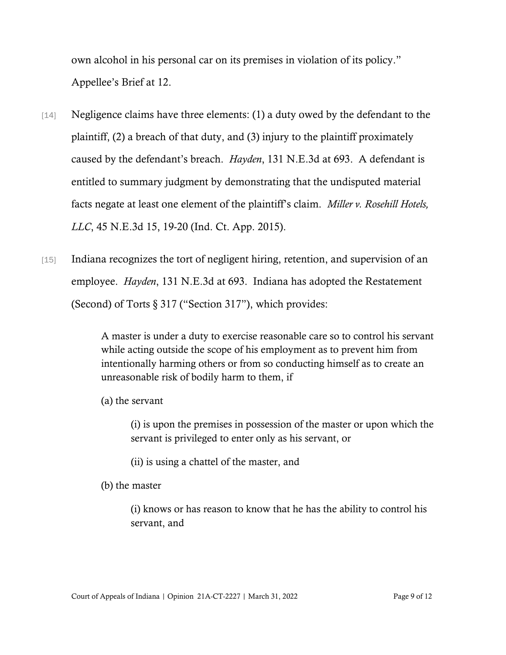own alcohol in his personal car on its premises in violation of its policy." Appellee's Brief at 12.

- [14] Negligence claims have three elements: (1) a duty owed by the defendant to the plaintiff, (2) a breach of that duty, and (3) injury to the plaintiff proximately caused by the defendant's breach. *Hayden*, 131 N.E.3d at 693. A defendant is entitled to summary judgment by demonstrating that the undisputed material facts negate at least one element of the plaintiff's claim. *Miller v. Rosehill Hotels, LLC*, 45 N.E.3d 15, 19-20 (Ind. Ct. App. 2015).
- [15] Indiana recognizes the tort of negligent hiring, retention, and supervision of an employee. *Hayden*, 131 N.E.3d at 693. Indiana has adopted the Restatement (Second) of Torts § 317 ("Section 317"), which provides:

A master is under a duty to exercise reasonable care so to control his servant while acting outside the scope of his employment as to prevent him from intentionally harming others or from so conducting himself as to create an unreasonable risk of bodily harm to them, if

(a) the servant

(i) is upon the premises in possession of the master or upon which the servant is privileged to enter only as his servant, or

(ii) is using a chattel of the master, and

(b) the master

(i) knows or has reason to know that he has the ability to control his servant, and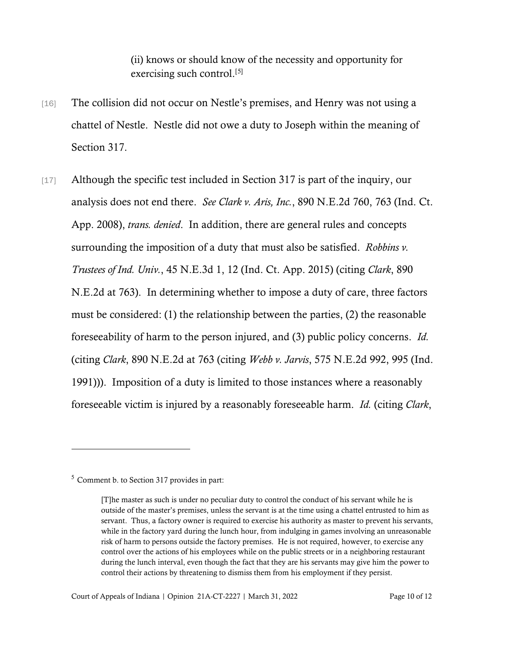(ii) knows or should know of the necessity and opportunity for exercising such control.<sup>[[5\]](#page-9-0)</sup>

- [16] The collision did not occur on Nestle's premises, and Henry was not using a chattel of Nestle. Nestle did not owe a duty to Joseph within the meaning of Section 317.
- [17] Although the specific test included in Section 317 is part of the inquiry, our analysis does not end there. *See Clark v. Aris, Inc.*, 890 N.E.2d 760, 763 (Ind. Ct. App. 2008), *trans. denied*. In addition, there are general rules and concepts surrounding the imposition of a duty that must also be satisfied. *Robbins v. Trustees of Ind. Univ.*, 45 N.E.3d 1, 12 (Ind. Ct. App. 2015) (citing *Clark*, 890 N.E.2d at 763). In determining whether to impose a duty of care, three factors must be considered: (1) the relationship between the parties, (2) the reasonable foreseeability of harm to the person injured, and (3) public policy concerns. *Id.* (citing *Clark*, 890 N.E.2d at 763 (citing *Webb v. Jarvis*, 575 N.E.2d 992, 995 (Ind. 1991))). Imposition of a duty is limited to those instances where a reasonably foreseeable victim is injured by a reasonably foreseeable harm. *Id.* (citing *Clark*,

<span id="page-9-0"></span><sup>5</sup> Comment b. to Section 317 provides in part:

<sup>[</sup>T]he master as such is under no peculiar duty to control the conduct of his servant while he is outside of the master's premises, unless the servant is at the time using a chattel entrusted to him as servant. Thus, a factory owner is required to exercise his authority as master to prevent his servants, while in the factory yard during the lunch hour, from indulging in games involving an unreasonable risk of harm to persons outside the factory premises. He is not required, however, to exercise any control over the actions of his employees while on the public streets or in a neighboring restaurant during the lunch interval, even though the fact that they are his servants may give him the power to control their actions by threatening to dismiss them from his employment if they persist.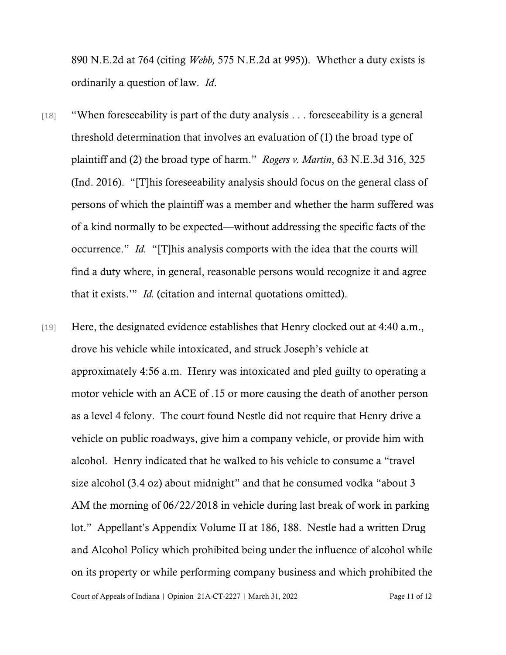890 N.E.2d at 764 (citing *Webb,* 575 N.E.2d at 995)). Whether a duty exists is ordinarily a question of law. *Id*.

- [18] "When foreseeability is part of the duty analysis . . . foreseeability is a general threshold determination that involves an evaluation of (1) the broad type of plaintiff and (2) the broad type of harm." *Rogers v. Martin*, 63 N.E.3d 316, 325 (Ind. 2016). "[T]his foreseeability analysis should focus on the general class of persons of which the plaintiff was a member and whether the harm suffered was of a kind normally to be expected—without addressing the specific facts of the occurrence." *Id.* "[T]his analysis comports with the idea that the courts will find a duty where, in general, reasonable persons would recognize it and agree that it exists.'" *Id.* (citation and internal quotations omitted).
- [19] Here, the designated evidence establishes that Henry clocked out at 4:40 a.m., drove his vehicle while intoxicated, and struck Joseph's vehicle at approximately 4:56 a.m. Henry was intoxicated and pled guilty to operating a motor vehicle with an ACE of .15 or more causing the death of another person as a level 4 felony. The court found Nestle did not require that Henry drive a vehicle on public roadways, give him a company vehicle, or provide him with alcohol. Henry indicated that he walked to his vehicle to consume a "travel size alcohol (3.4 oz) about midnight" and that he consumed vodka "about 3 AM the morning of 06/22/2018 in vehicle during last break of work in parking lot." Appellant's Appendix Volume II at 186, 188. Nestle had a written Drug and Alcohol Policy which prohibited being under the influence of alcohol while on its property or while performing company business and which prohibited the

Court of Appeals of Indiana | Opinion 21A-CT-2227 | March 31, 2022 Page 11 of 12